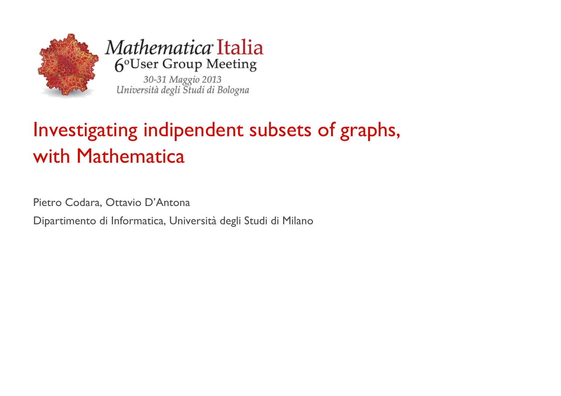

Mathematica Italia 6°User Group Meeting

30-31 Maggio 2013<br>Università degli Studi di Bologna

# Investigating indipendent subsets of graphs, with Mathematica

Pietro Codara, Ottavio D'Antona

Dipartimento di Informatica, Università degli Studi di Milano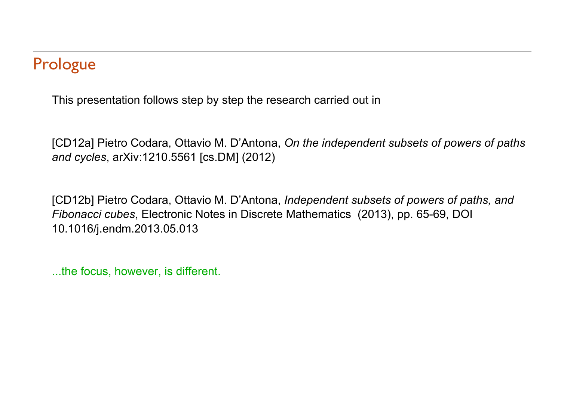# Prologue

This presentation follows step by step the research carried out in

[CD12a] Pietro Codara, Ottavio M. D'Antona, *On the independent subsets of powers of paths and cycles*, arXiv:1210.5561 [cs.DM] (2012)

[CD12b] Pietro Codara, Ottavio M. D'Antona, *Independent subsets of powers of paths, and Fibonacci cubes*, Electronic Notes in Discrete Mathematics (2013), pp. 65-69, DOI 10.1016/j.endm.2013.05.013

...the focus, however, is different.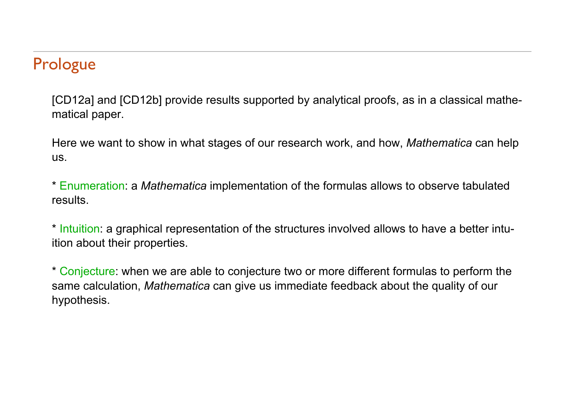# Prologue

[CD12a] and [CD12b] provide results supported by analytical proofs, as in a classical mathematical paper.

Here we want to show in what stages of our research work, and how, *Mathematica* can help us.

\* Enumeration: a *Mathematica* implementation of the formulas allows to observe tabulated results.

\* Intuition: a graphical representation of the structures involved allows to have a better intuition about their properties.

\* Conjecture: when we are able to conjecture two or more different formulas to perform the same calculation, *Mathematica* can give us immediate feedback about the quality of our hypothesis.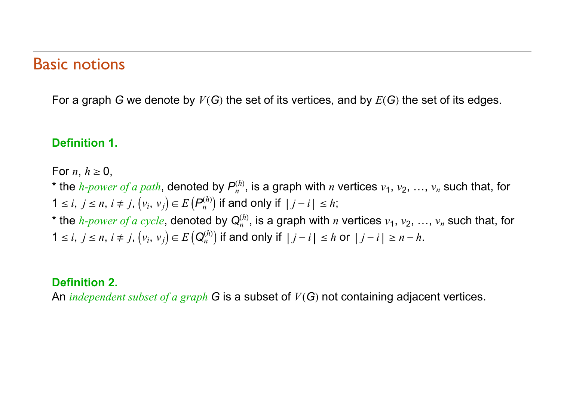#### Basic notions

For a graph *G* we denote by  $V(G)$  the set of its vertices, and by  $E(G)$  the set of its edges.

#### **Definition 1.**

For *n*,  $h \geq 0$ ,

\* the *h-power of a path*, denoted by  $P_n^{(h)}$ , is a graph with *n* vertices  $v_1, v_2, ..., v_n$  such that, for  $1 \le i, j \le n, i \ne j, (v_i, v_j) \in E(P_n^{(h)})$  if and only if  $|j - i| \le h$ ;

\* the *h-power of a cycle*, denoted by  $Q_n^{(h)}$ , is a graph with *n* vertices  $v_1, v_2, ..., v_n$  such that, for  $1 \le i, j \le n, i \ne j, (v_i, v_j) \in E(Q_n^{(h)})$  if and only if  $|j - i| \le h$  or  $|j - i| \ge n - h$ .

#### **Definition 2.**

An *independent subset of a graph* G is a subset of  $V(G)$  not containing adjacent vertices.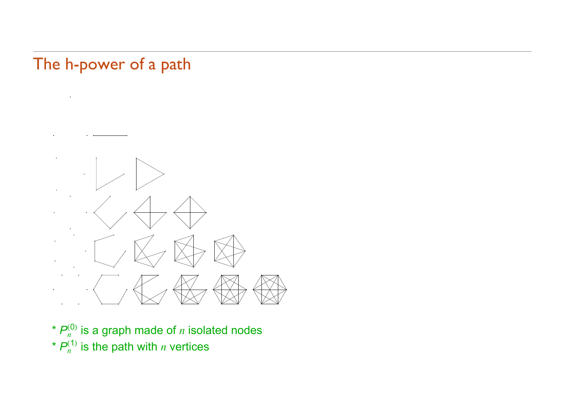# The h-power of a path



- $*$   $P_n^{(0)}$  is a graph made of  $n$  isolated nodes
- $*$   $P_n^{(1)}$  is the path with *n* vertices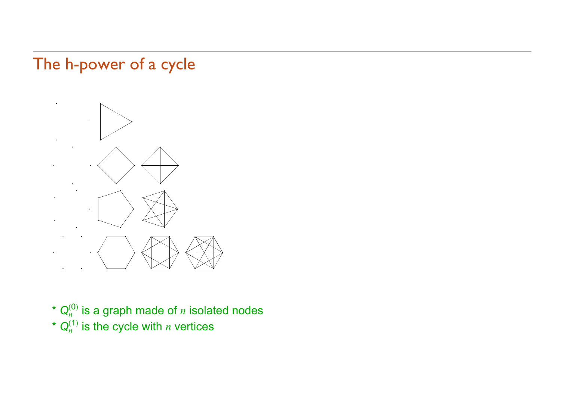# The h-power of a cycle



- $*$   $\mathsf{Q}_n^{(0)}$  is a graph made of  $n$  isolated nodes
- $*$   $\mathsf{Q}_n^{(1)}$  is the cycle with  $n$  vertices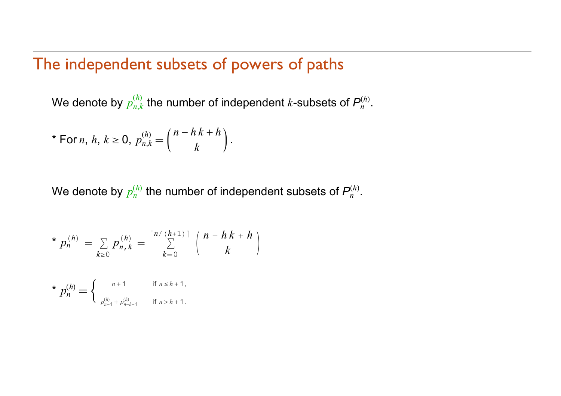### The independent subsets of powers of paths

We denote by  $p_{n,k}^{(h)}$  the number of independent  $k$ -subsets of  $P_n^{(h)}$ *h* .

\* For *n*, *h*, 
$$
k \ge 0
$$
,  $p_{n,k}^{(h)} = {n - h k + h \choose k}$ .

We denote by  $p_n^{(h)}$  the number of independent subsets of  $P_n^{(h)}$ *h* .

\* 
$$
p_n^{(h)} = \sum_{k \ge 0} p_{n,k}^{(h)} = \sum_{k=0}^{\lceil n/(h+1) \rceil} {n - h k + h \choose k}
$$

\* 
$$
p_n^{(h)}
$$
 = {  $n+1$  if  $n \le h+1$ ,  
\n $p_{n-1}^{(h)} + p_{n-h-1}^{(h)}$  if  $n > h+1$ .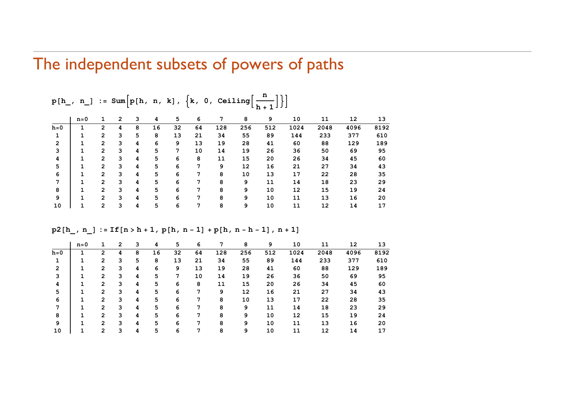### The independent subsets of powers of paths

|         | $n=0$ |                | 2 | 3 | 4  | 5  | 6  | 7   | 8   | 9   | 10   | 11   | 12   | 13   |
|---------|-------|----------------|---|---|----|----|----|-----|-----|-----|------|------|------|------|
| $h = 0$ |       | 2              | 4 | 8 | 16 | 32 | 64 | 128 | 256 | 512 | 1024 | 2048 | 4096 | 8192 |
|         |       | $\mathbf{2}$   | 3 | 5 | 8  | 13 | 21 | 34  | 55  | 89  | 144  | 233  | 377  | 610  |
| 2       |       | 2              | 3 | 4 | 6  | 9  | 13 | 19  | 28  | 41  | 60   | 88   | 129  | 189  |
| 3       |       | 2              | 3 | 4 | 5  | 7  | 10 | 14  | 19  | 26  | 36   | 50   | 69   | 95   |
| 4       |       | 2              | 3 | 4 | 5  | 6  | 8  | 11  | 15  | 20  | 26   | 34   | 45   | 60   |
| 5       |       | 2              | 3 | 4 | 5  | 6  | 7  | 9   | 12  | 16  | 21   | 27   | 34   | 43   |
| 6       |       | 2              | 3 | 4 | 5  | 6  | 7  | 8   | 10  | 13  | 17   | 22   | 28   | 35   |
|         |       | 2              | 3 | 4 | 5  | 6  | 7  | 8   | 9   | 11  | 14   | 18   | 23   | 29   |
| 8       |       | $\overline{2}$ | 3 | 4 | 5  | 6  | 7  | 8   | 9   | 10  | 12   | 15   | 19   | 24   |
| 9       |       | $\overline{2}$ | 3 | 4 | 5  | 6  | 7  | 8   | 9   | 10  | 11   | 13   | 16   | 20   |
| 10      |       | $\overline{2}$ | 3 | 4 | 5  | 6  | 7  | 8   | 9   | 10  | 11   | 12   | 14   | 17   |

**<sup>p</sup>h\_, n\_ : Sumph, n, <sup>k</sup>, k, 0, Ceiling <sup>n</sup> h1**

|         | $n=0$ |                | 2 | 3 | 4  | 5  | 6  | 7   | 8   | 9   | 10   | 11   | 12   | 13   |
|---------|-------|----------------|---|---|----|----|----|-----|-----|-----|------|------|------|------|
| $h = 0$ |       | 2              | 4 | 8 | 16 | 32 | 64 | 128 | 256 | 512 | 1024 | 2048 | 4096 | 8192 |
|         |       | 2              | 3 | 5 | 8  | 13 | 21 | 34  | 55  | 89  | 144  | 233  | 377  | 610  |
| 2       |       | 2              | 3 | 4 | 6  | 9  | 13 | 19  | 28  | 41  | 60   | 88   | 129  | 189  |
|         |       | 2              | 3 | 4 | 5  | 7  | 10 | 14  | 19  | 26  | 36   | 50   | 69   | 95   |
| 4       |       | $\overline{2}$ | 3 | 4 | 5  | 6  | 8  | 11  | 15  | 20  | 26   | 34   | 45   | 60   |
| 5       |       | 2              | 3 | 4 | 5  | 6  | 7  | 9   | 12  | 16  | 21   | 27   | 34   | 43   |
| 6       |       | 2              | 3 | 4 | 5  | 6  | 7  | 8   | 10  | 13  | 17   | 22   | 28   | 35   |
|         |       | 2              | 3 | 4 | 5  | 6  | 7  | 8   | 9   | 11  | 14   | 18   | 23   | 29   |
| 8       |       | 2              | 3 | 4 | 5  | 6  | 7  | 8   | 9   | 10  | 12   | 15   | 19   | 24   |
| 9       |       | $\overline{2}$ | 3 | 4 | 5  | 6  | 7  | 8   | 9   | 10  | 11   | 13   | 16   | 20   |
| 10      |       | 2              | 3 | 4 | 5  | 6  | 7  | 8   | 9   | 10  | 11   | 12   | 14   | 17   |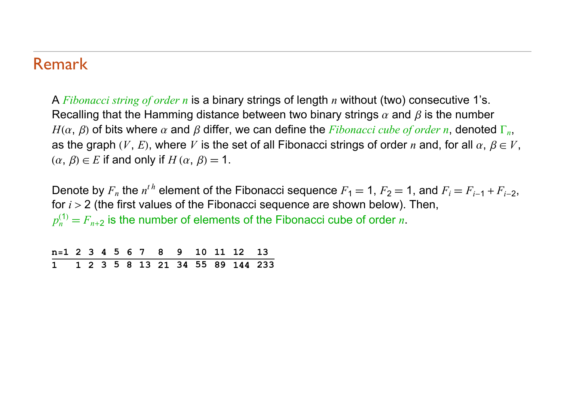#### Remark

A *Fibonacci string of order n* is a binary strings of length *n* without (two) consecutive 1's. Recalling that the Hamming distance between two binary strings  $\alpha$  and  $\beta$  is the number  $H(\alpha, \beta)$  of bits where  $\alpha$  and  $\beta$  differ, we can define the *Fibonacci cube of order n*, denoted  $\Gamma_n$ , as the graph  $(V, E)$ , where V is the set of all Fibonacci strings of order *n* and, for all  $\alpha, \beta \in V$ ,  $(\alpha, \beta) \in E$  if and only if  $H(\alpha, \beta) = 1$ .

Denote by  $F_n$  the  $n^{th}$  element of the Fibonacci sequence  $F_1 = 1$ ,  $F_2 = 1$ , and  $F_i = F_{i-1} + F_{i-2}$ , for *i* > 2 (the first values of the Fibonacci sequence are shown below). Then,  $p_n^{(1)} = F_{n+2}$  is the number of elements of the Fibonacci cube of order *n*.

|  |  |  |  |  | n=1 2 3 4 5 6 7 8 9 10 11 12 13    |  |
|--|--|--|--|--|------------------------------------|--|
|  |  |  |  |  | 1 1 2 3 5 8 13 21 34 55 89 144 233 |  |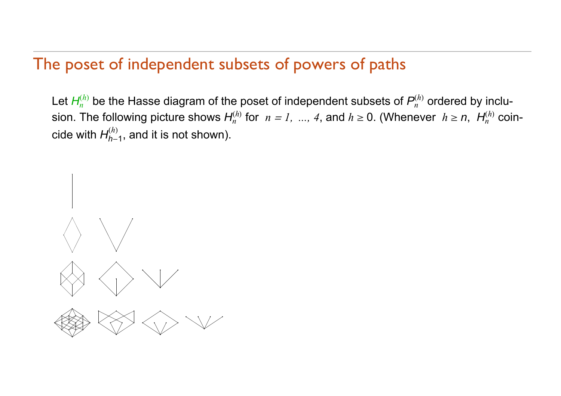### The poset of independent subsets of powers of paths

Let  $H_n^{(h)}$  be the Hasse diagram of the poset of independent subsets of  $P_n^{(h)}$  ordered by inclusion. The following picture shows  $H_n^{(h)}$  for  $n = 1, \; ... , \; 4,$  and  $h \geq 0.$  (Whenever  $h \geq n, \; H_n^{(h)}$  coincide with *Hh*-1 $\alpha_{h-1}^{(h)}$ , and it is not shown).

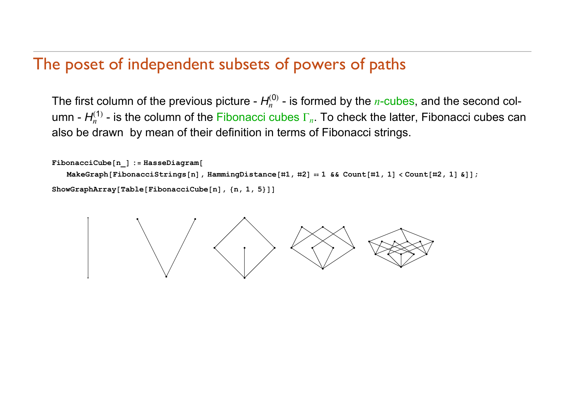### The poset of independent subsets of powers of paths

The first column of the previous picture -  $H_n^{(0)}$  - is formed by the *n*-cubes, and the second column - *Hn*  $I_n^{(1)}$  - is the column of the Fibonacci cubes  $\Gamma_n$ . To check the latter, Fibonacci cubes can also be drawn by mean of their definition in terms of Fibonacci strings.

```
FibonacciCuben_ : HasseDiagram
   MakeGraph[FibonacciStrings[n], HammingDistance[#1, #2] == 1 && Count[#1, 1] < Count[#2, 1] &]];
ShowGraphArrayTableFibonacciCuben, n, 1, 5
```
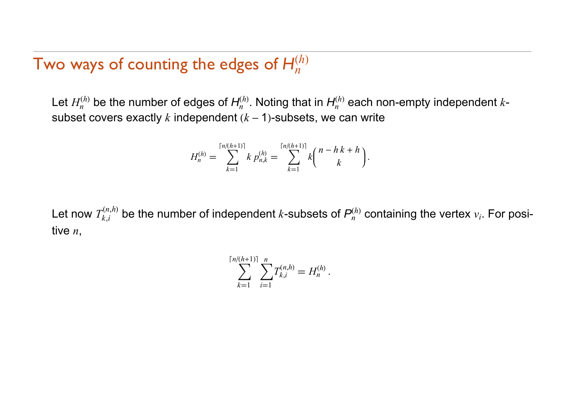#### Two ways of counting the edges of *H nh*

Let  $H_n^{(h)}$  be the number of edges of  $H_n^{(h)}$ . Noting that in  $H_n^{(h)}$  each non-empty independent  $k$ subset covers exactly  $k$  independent  $(k-1)$ -subsets, we can write

$$
H_n^{(h)} = \sum_{k=1}^{\lceil n/(h+1)\rceil} k p_{n,k}^{(h)} = \sum_{k=1}^{\lceil n/(h+1)\rceil} k {n-h \, k+h \choose k}.
$$

Let now  $T_{k,i}^{(n,h)}$  be the number of independent  $k$ -subsets of  $\bm{\mathit{P}}_n^{(h)}$  containing the vertex  $v_i$ . For positive *n*,

$$
\sum_{k=1}^{\lceil n/(h+1)\rceil} \sum_{i=1}^n T_{k,i}^{(n,h)} = H_n^{(h)}.
$$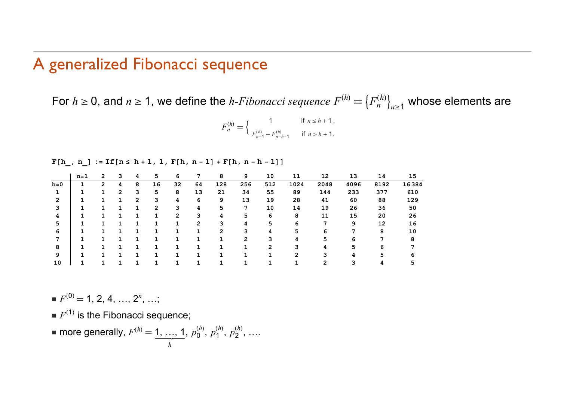### A generalized Fibonacci sequence

For  $h \ge 0$ , and  $n \ge 1$ , we define the *h-Fibonacci sequence*  $F^{(h)} = \big\{ F_n^{(h)} \big\}_{n \ge 1}$  whose elements are

$$
F_n^{(h)} = \begin{cases} 1 & \text{if } n \le h+1, \\ F_{n-1}^{(h)} + F_{n-h-1}^{(h)} & \text{if } n > h+1. \end{cases}
$$

 $\mathbf{F}[\mathbf{h}_+, \mathbf{n}_-]:=\mathbf{If}\left[\mathbf{n}\le \mathbf{h}+\mathbf{1}, \mathbf{1}, \mathbf{F}[\mathbf{h}, \mathbf{n}-\mathbf{1}]+\mathbf{F}[\mathbf{h}, \mathbf{n}-\mathbf{h}-\mathbf{1}]\right]$ 

|         | n=1 | 2 | 3            | 4              | 5              | 6  |    | 8   | 9   | 10  | 11   | 12   | 13   | 14   | 15    |
|---------|-----|---|--------------|----------------|----------------|----|----|-----|-----|-----|------|------|------|------|-------|
| $h = 0$ |     | 2 | 4            | 8              | 16             | 32 | 64 | 128 | 256 | 512 | 1024 | 2048 | 4096 | 8192 | 16384 |
|         |     |   | $\mathbf{2}$ | 3              | 5              | 8  | 13 | 21  | 34  | 55  | 89   | 144  | 233  | 377  | 610   |
| 2       |     |   |              | $\overline{2}$ | 3              | 4  | 6  | 9   | 13  | 19  | 28   | 41   | 60   | 88   | 129   |
|         |     |   |              |                | $\overline{2}$ | 3  | 4  |     | 7   | 10  | 14   | 19   | 26   | 36   | 50    |
| 4       |     |   |              |                |                | 2  |    |     | 5   | 6   | 8    | 11   | 15   | 20   | 26    |
| 5       |     |   |              |                |                |    | 2  |     | 4   | 5   | 6    |      | 9    | 12   | 16    |
| 6       |     |   |              |                |                |    |    |     |     |     | 5    | 6    |      | 8    | 10    |
|         |     |   |              |                |                |    |    |     | 2   |     | 4    | 5    | 6    |      | 8     |
| я       |     |   |              |                |                |    |    |     |     | ົ   |      | 4    | 5    | 6    |       |
| 9       |     |   |              |                |                |    |    |     |     |     | 2    | ٩    |      |      |       |
| 10      |     |   |              |                |                |    |    |     |     |     |      |      |      |      |       |

 $F^{(0)} = 1, 2, 4, ..., 2^n, ...;$ 

- $\blacksquare$  *F*<sup>(1)</sup> is the Fibonacci sequence;
- **more generally,**  $F^{(h)} = 1, ..., 1$ *h*, *p* 0 *h* ,  $p_1$ *h* , *p* 2 *h* , ….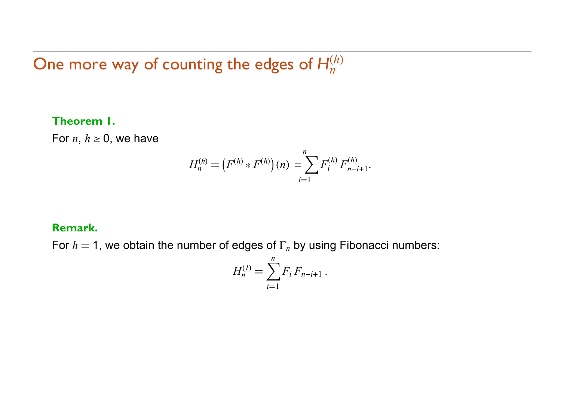#### One more way of counting the edges of *H n h*

#### **Theorem 1.**

For  $n, \, h \geq 0,$  we have

$$
H_n^{(h)} = \left( F^{(h)} * F^{(h)} \right)(n) = \sum_{i=1}^n F_i^{(h)} F_{n-i+1}^{(h)}.
$$

#### **Remark.**

For  $h=1$ , we obtain the number of edges of  $\Gamma_n$  by using Fibonacci numbers:

$$
H_n^{(I)} = \sum_{i=1}^n F_i F_{n-i+1} \, .
$$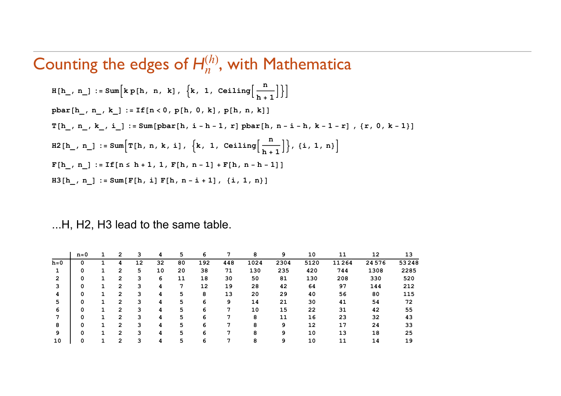# Counting the edges of  $H_n^{(h)}$ , with Mathematica

$$
H[h_, n_.] := Sum[k p[h, n, k], {k, 1, Ceiling[\frac{n}{h+1}]]]
$$
\n
$$
pbar[h_, n_, k_.] := If[n < 0, p[h, 0, k], p[h, n, k]]
$$
\n
$$
T[h_, n_, k_, i_.] := Sum[pbar[h, i - h - 1, r] pbar[h, n - i - h, k - 1 - r], {r, 0, k - 1}]
$$
\n
$$
H2[h_, n_.] := Sum[T[h, n, k, i], {k, 1, Ceiling[\frac{n}{h+1}]], {i, 1, n}]
$$
\n
$$
F[h_, n_.] := If[n \le h + 1, 1, F[h, n - 1] + F[h, n - h - 1]]
$$
\n
$$
H3[h_, n_.] := Sum[F[h, i] F[h, n - i + 1], {i, 1, n}]
$$

#### ...H, H2, H3 lead to the same table.

|         | $n=0$ | 2              | 3  | 4  | 5  | 6   | 7   | 8    | 9    | 10   | 11    | 12    | 13    |
|---------|-------|----------------|----|----|----|-----|-----|------|------|------|-------|-------|-------|
| $h = 0$ |       | 4              | 12 | 32 | 80 | 192 | 448 | 1024 | 2304 | 5120 | 11264 | 24576 | 53248 |
|         | 0     | 2              | 5. | 10 | 20 | 38  | 71  | 130  | 235  | 420  | 744   | 1308  | 2285  |
| 2       | 0     | 2              | 3  | 6  | 11 | 18  | 30  | 50   | 81   | 130  | 208   | 330   | 520   |
|         | 0     | $\overline{2}$ | 3  | 4  | 7  | 12  | 19  | 28   | 42   | 64   | 97    | 144   | 212   |
| 4       | 0     | 2              | 3  | 4  | 5  | 8   | 13  | 20   | 29   | 40   | 56    | 80    | 115   |
| 5       |       | 2              | 3  | 4  | 5  | 6   | 9   | 14   | 21   | 30   | 41    | 54    | 72    |
| 6       |       | 2              | 3  | 4  | 5  | 6   | 7   | 10   | 15   | 22   | 31    | 42    | 55    |
|         |       | $\overline{2}$ | 3  | 4  | 5  | 6   |     | 8    | 11   | 16   | 23    | 32    | 43    |
| 8       |       | 2              | 3  | 4  | 5  | 6   |     | 8    | 9    | 12   | 17    | 24    | 33    |
| 9       |       | 2              | 3  | 4  | 5  | 6   |     | 8    | 9    | 10   | 13    | 18    | 25    |
| 10      |       | 2              | 3  | 4  | 5  | 6   |     | 8    | 9    | 10   | 11    | 14    | 19    |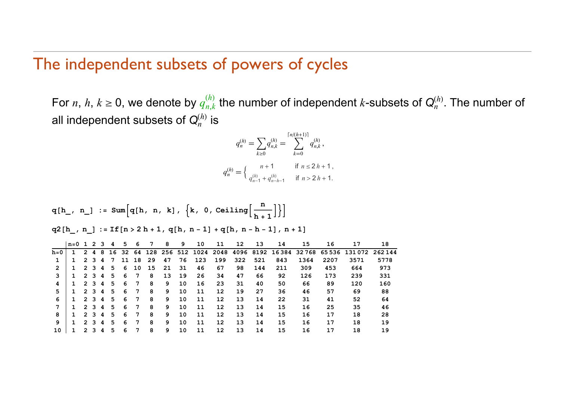### The independent subsets of powers of cycles

For *n*, *h*,  $k \geq 0$ , we denote by  $q_{n,k}^{(h)}$  the number of independent  $k$ -subsets of  $\mathsf{Q}_n^{(h)}$ . The number of all independent subsets of  $\mathsf{Q}^{(h)}_n$  is

$$
q_n^{(h)} = \sum_{k \ge 0} q_{n,k}^{(h)} = \sum_{k=0}^{\lceil n/(h+1) \rceil} q_{n,k}^{(h)},
$$
  

$$
q_n^{(h)} = \begin{cases} n+1 & \text{if } n \le 2h+1, \\ q_{n-1}^{(h)} + q_{n-h-1}^{(h)} & \text{if } n > 2h+1. \end{cases}
$$

$$
q[h_, n_]: = Sum\Big[q[h, n, k], \{k, 0, Ceiling\Big[\frac{n}{h+1}\Big]\Big\}\Big]
$$

 $\mathtt{q2}\mathtt{[h_,\; n_.]}:=\mathtt{If}\mathtt{[n>2\;h+1,\;q[h,\;n-1]+q[h,\;n-h-1] \;,\;n+1]}$ 

|         | $n=0$ 1 2 3 |                      |                |   | 4  | 5   | 6               | 7  | 8  | 9  | 10  | 11  | 12  | 13  | 14  | 15   | 16   | 17                                                       | 18     |
|---------|-------------|----------------------|----------------|---|----|-----|-----------------|----|----|----|-----|-----|-----|-----|-----|------|------|----------------------------------------------------------|--------|
| $h = 0$ |             | $\mathbf{2}^{\circ}$ | 4              | 8 | 16 | -32 | 64              |    |    |    |     |     |     |     |     |      |      | 128 256 512 1024 2048 4096 8192 16384 32768 65536 131072 | 262144 |
|         |             |                      | 2 3 4          |   | -7 | 11  | 18              | 29 | 47 | 76 | 123 | 199 | 322 | 521 | 843 | 1364 | 2207 | 3571                                                     | 5778   |
| 2       |             |                      | 2 3 4          |   | 5  | 6   | 10              | 15 | 21 | 31 | 46  | 67  | 98  | 144 | 211 | 309  | 453  | 664                                                      | 973    |
| 3       |             |                      | 2 3 4          |   | 5  | 6   | 7               | 8  | 13 | 19 | 26  | 34  | 47  | 66  | 92  | 126  | 173  | 239                                                      | 331    |
| 4       |             | $\mathbf{2}$         | 3 4            |   | 5  | 6   | $7\phantom{.0}$ | 8  | 9  | 10 | 16  | 23  | 31  | 40  | 50  | 66   | 89   | 120                                                      | 160    |
| 5       |             |                      | 2 3 4          |   | 5  | 6   | 7               | 8  | 9  | 10 | 11  | 12  | 19  | 27  | 36  | 46   | 57   | 69                                                       | 88     |
| 6       |             | $\mathcal{P}$        | 3 4            |   | 5  | 6   | 7               | 8  | 9  | 10 | 11  | 12  | 13  | 14  | 22  | 31   | 41   | 52                                                       | 64     |
|         |             | 2                    | 34             |   | 5  | 6   | 7               | 8  | 9  | 10 | 11  | 12  | 13  | 14  | 15  | 16   | 25   | 35                                                       | 46     |
| 8       |             | $\mathbf{2}^{\circ}$ | 3 <sup>1</sup> | 4 | 5  | 6   | 7               | 8  | 9  | 10 | 11  | 12  | 13  | 14  | 15  | 16   | 17   | 18                                                       | 28     |
| 9       |             |                      | 2 3            | 4 | 5  | 6   | 7               | 8  | 9  | 10 | 11  | 12  | 13  | 14  | 15  | 16   | 17   | 18                                                       | 19     |
| 10      |             | 2                    |                | 4 | 5  | 6   | 7               | 8  | 9  | 10 | 11  | 12  | 13  | 14  | 15  | 16   | 17   | 18                                                       | 19     |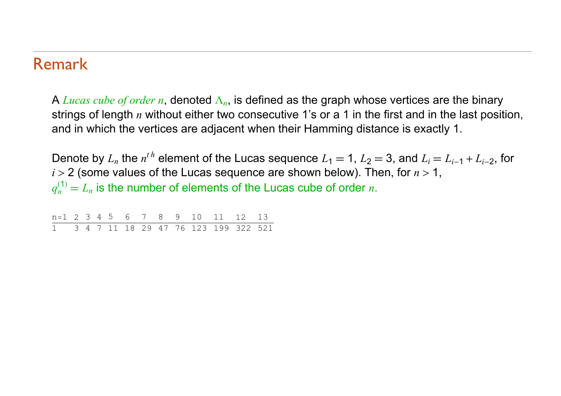#### Remark

A *Lucas cube of order n*, denoted  $\Lambda_n$ , is defined as the graph whose vertices are the binary strings of length *n* without either two consecutive 1's or a 1 in the first and in the last position, and in which the vertices are adjacent when their Hamming distance is exactly 1.

Denote by  $L_n$  the  $n^{th}$  element of the Lucas sequence  $L_1 = 1$ ,  $L_2 = 3$ , and  $L_i = L_{i-1} + L_{i-2}$ , for *i* > 2 (some values of the Lucas sequence are shown below). Then, for *<sup>n</sup>* <sup>&</sup>gt; 1,  $q_n^{(1)} = L_n$  is the number of elements of the Lucas cube of order *n*.

|  |  |  |  |  | $n=1$ 2 3 4 5 6 7 8 9 10 11 12 13      |  |
|--|--|--|--|--|----------------------------------------|--|
|  |  |  |  |  | 1 3 4 7 11 18 29 47 76 123 199 322 521 |  |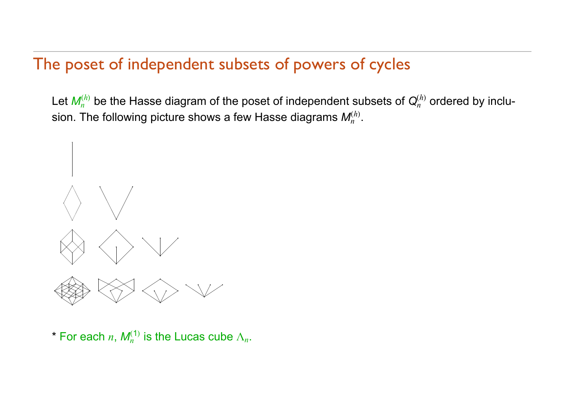# The poset of independent subsets of powers of cycles

Let  $\pmb{M}_n^{(h)}$  be the Hasse diagram of the poset of independent subsets of  $\pmb{\mathsf{Q}}_n^{(h)}$  ordered by inclusion. The following picture shows a few Hasse diagrams *Mn h* .



\* For each *n*,  $M_n^{(1)}$  is the Lucas cube  $\Lambda_n$ .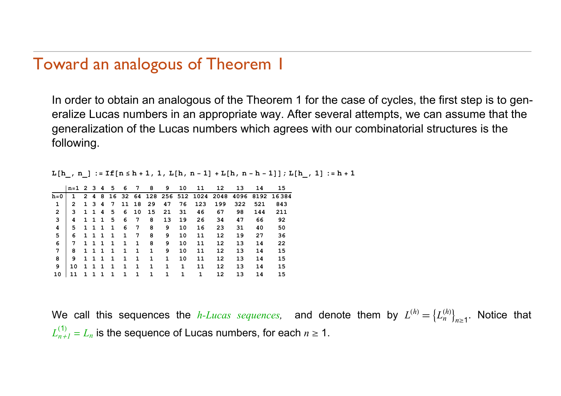### Toward an analogous of Theorem 1

In order to obtain an analogous of the Theorem 1 for the case of cycles, the first step is to generalize Lucas numbers in an appropriate way. After several attempts, we can assume that the generalization of the Lucas numbers which agrees with our combinatorial structures is the following.

L[h\_, n\_] := If[n ≤ h + 1 , 1 , L[h , n - 1] + L[h , n - h - 1]] ; L[h\_ , 1] := h + 1

|                | $n=1$ 2 3    |                |   | 4  | 5           | 6 | 7     | 8  | 9  | 10 | 11                             | 12  | 13   | 14   | 15    |
|----------------|--------------|----------------|---|----|-------------|---|-------|----|----|----|--------------------------------|-----|------|------|-------|
| $h = 0$        |              | $\overline{2}$ | 4 | 8  |             |   |       |    |    |    | 16 32 64 128 256 512 1024 2048 |     | 4096 | 8192 | 16384 |
|                | $\mathbf{2}$ | $\mathbf{1}$   | 3 | 4  | 7           |   | 11 18 | 29 | 47 | 76 | 123                            | 199 | 322  | 521  | 843   |
| $\overline{2}$ | 3            | $\mathbf{1}$   | 1 | 4  | 5           | 6 | 10    | 15 | 21 | 31 | 46                             | 67  | 98   | 144  | 211   |
| 3              | 4            | $\mathbf{1}$   | 1 | -1 | 5           | 6 | 7     | 8  | 13 | 19 | 26                             | 34  | 47   | 66   | 92    |
| 4              | 5            | $\mathbf{1}$   | 1 | 1  | 1           | 6 | 7     | 8  | 9  | 10 | 16                             | 23  | 31   | 40   | 50    |
| 5              | 6            | $\mathbf{1}$   | 1 | -1 | $\mathbf 1$ | 1 | 7     | 8  | 9  | 10 | 11                             | 12  | 19   | 27   | 36    |
| 6              | 7            | 1.             | 1 | -1 | -1          | 1 | 1     | 8  | 9  | 10 | 11                             | 12  | 13   | 14   | 22    |
| 7              | 8            | $\mathbf{1}$   | 1 | 1  | 1           | 1 | 1     | 1  | 9  | 10 | 11                             | 12  | 13   | 14   | 15    |
| 8              | 9            | 1.             | ٦ |    |             | 1 | 1     | 1  | 1  | 10 | 11                             | 12  | 13   | 14   | 15    |
| 9              | 10           | 1.             |   |    |             | 1 | 1     | 1  | 1  | 1  | 11                             | 12  | 13   | 14   | 15    |
| 10             |              |                |   |    |             |   | 1     | 1  | 1  | 1  | 1                              | 12  | 13   | 14   | 15    |

We call this sequences the *h-Lucas sequences*, and denote them by  $L^{(h)} = \{L_n^{(h)}: n \in \mathbb{N} \mid n \leq h\}$  $\binom{(h)}{n}_{n>1}$ . Notice that  $L_{n+1}^{\left( \nu\right) }$  $L_{n+1}^{(1)} = L_n$  is the sequence of Lucas numbers, for each  $n \geq 1$ .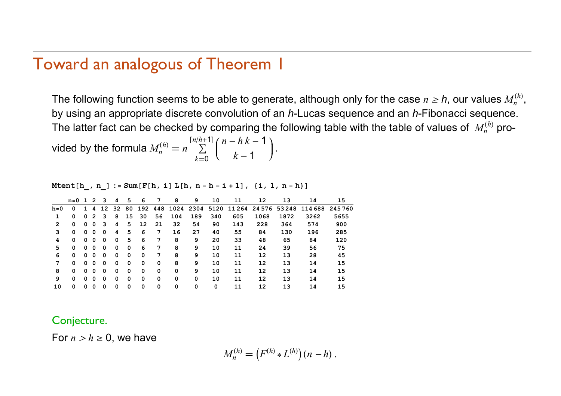#### Toward an analogous of Theorem 1

The following function seems to be able to generate, although only for the case  $n \geq h$ , our values  $M_n^{(h)},$ by using an appropriate discrete convolution of an *h*-Lucas sequence and an *h*-Fibonacci sequence. The latter fact can be checked by comparing the following table with the table of values of  $\ M_n^{(h)}$  pro-

vided by the formula  $M_n^{(h)} = n \stackrel{\cdots}{\sum}$  $k=0$  $\binom{n}{h+1}$  *n* - *h k* - 1  $k-1$  )

**Mtenth\_, n\_ : SumFh, <sup>i</sup> <sup>L</sup>h, <sup>n</sup> h i 1, i, 1, <sup>n</sup> h**

|                | $n=0$ |   | 2 | 3  | 4  | 5  | 6   | 7   | 8    | 9    | 10   | 11       | 12   | 13         | 14      | 15     |
|----------------|-------|---|---|----|----|----|-----|-----|------|------|------|----------|------|------------|---------|--------|
| $h = 0$        | 0     |   | 4 | 12 | 32 | 80 | 192 | 448 | 1024 | 2304 | 5120 | 11 2 6 4 |      | 2457653248 | 114 688 | 245760 |
| 1              | 0     | 0 | 2 | 3  | 8  | 15 | 30  | 56  | 104  | 189  | 340  | 605      | 1068 | 1872       | 3262    | 5655   |
| $\overline{2}$ | 0     | 0 | 0 | з  | 4  | 5  | 12  | 21  | 32   | 54   | 90   | 143      | 228  | 364        | 574     | 900    |
| 3              | 0     | 0 | 0 | 0  | 4  | 5  | 6   | 7   | 16   | 27   | 40   | 55       | 84   | 130        | 196     | 285    |
| 4              | 0     | 0 | 0 | 0  | 0  | 5  | 6   | 7   | 8    | 9    | 20   | 33       | 48   | 65         | 84      | 120    |
| 5              | 0     | 0 | 0 | 0  | 0  | 0  | 6   | 7   | 8    | 9    | 10   | 11       | 24   | 39         | 56      | 75     |
| 6              | 0     | 0 | 0 | 0  | 0  | 0  | 0   | 7   | 8    | 9    | 10   | 11       | 12   | 13         | 28      | 45     |
| 7              | 0     | 0 | 0 | 0  | 0  | 0  | 0   | 0   | 8    | 9    | 10   | 11       | 12   | 13         | 14      | 15     |
| 8              | 0     | 0 | 0 | 0  | 0  | 0  | 0   | 0   | 0    | 9    | 10   | 11       | 12   | 13         | 14      | 15     |
| 9              | 0     | 0 | 0 | 0  | 0  | 0  | 0   | 0   | 0    | 0    | 10   | 11       | 12   | 13         | 14      | 15     |
| 10             | 0     | 0 | 0 | 0  | 0  | 0  | 0   | 0   | 0    | 0    | 0    | 11       | 12   | 13         | 14      | 15     |

Conjecture.

For  $n > h \geq 0$ , we have

$$
M_n^{(h)} = (F^{(h)} * L^{(h)}) (n - h).
$$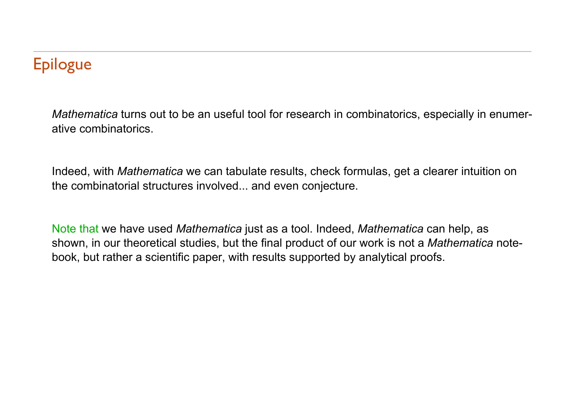# **Epilogue**

*Mathematica* turns out to be an useful tool for research in combinatorics, especially in enumerative combinatorics.

Indeed, with *Mathematica* we can tabulate results, check formulas, get a clearer intuition on the combinatorial structures involved... and even conjecture.

Note that we have used *Mathematica* just as a tool. Indeed, *Mathematica* can help, as shown, in our theoretical studies, but the final product of our work is not a *Mathematica* notebook, but rather a scientific paper, with results supported by analytical proofs.